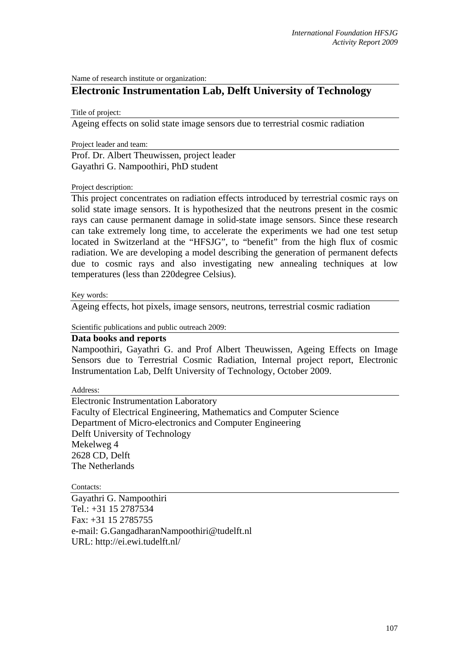Name of research institute or organization:

## **Electronic Instrumentation Lab, Delft University of Technology**

Title of project:

Ageing effects on solid state image sensors due to terrestrial cosmic radiation

Project leader and team:

Prof. Dr. Albert Theuwissen, project leader Gayathri G. Nampoothiri, PhD student

## Project description:

This project concentrates on radiation effects introduced by terrestrial cosmic rays on solid state image sensors. It is hypothesized that the neutrons present in the cosmic rays can cause permanent damage in solid-state image sensors. Since these research can take extremely long time, to accelerate the experiments we had one test setup located in Switzerland at the "HFSJG", to "benefit" from the high flux of cosmic radiation. We are developing a model describing the generation of permanent defects due to cosmic rays and also investigating new annealing techniques at low temperatures (less than 220degree Celsius).

Key words:

Ageing effects, hot pixels, image sensors, neutrons, terrestrial cosmic radiation

Scientific publications and public outreach 2009:

## **Data books and reports**

Nampoothiri, Gayathri G. and Prof Albert Theuwissen, Ageing Effects on Image Sensors due to Terrestrial Cosmic Radiation, Internal project report, Electronic Instrumentation Lab, Delft University of Technology, October 2009.

Address:

Electronic Instrumentation Laboratory Faculty of Electrical Engineering, Mathematics and Computer Science Department of Micro-electronics and Computer Engineering Delft University of Technology Mekelweg 4 2628 CD, Delft The Netherlands

Contacts:

Gayathri G. Nampoothiri Tel.: +31 15 2787534 Fax: +31 15 2785755 e-mail: G.GangadharanNampoothiri@tudelft.nl URL: http://ei.ewi.tudelft.nl/